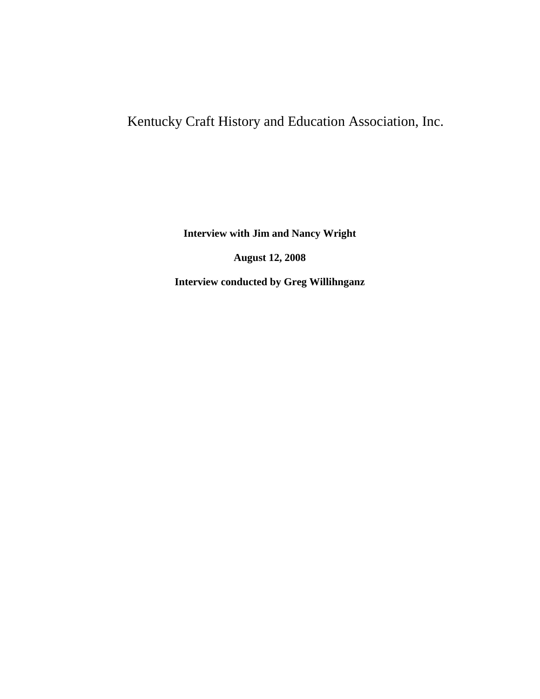## Kentucky Craft History and Education Association, Inc.

**Interview with Jim and Nancy Wright**

**August 12, 2008**

**Interview conducted by Greg Willihnganz**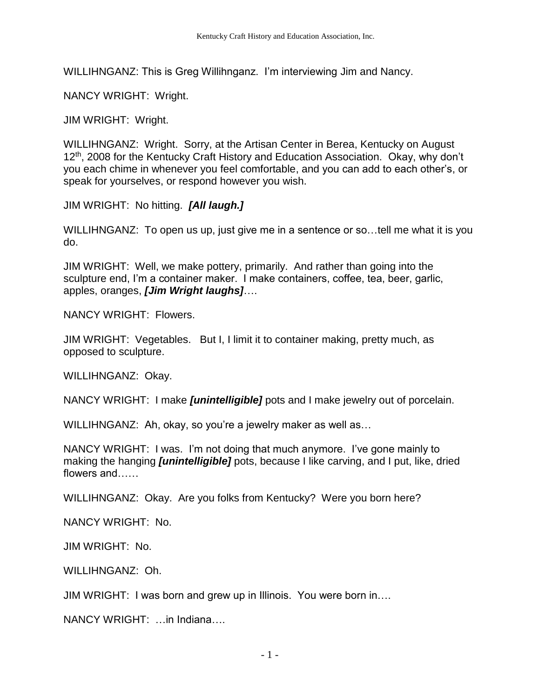WILLIHNGANZ: This is Greg Willihnganz. I'm interviewing Jim and Nancy.

NANCY WRIGHT: Wright.

JIM WRIGHT: Wright.

WILLIHNGANZ: Wright. Sorry, at the Artisan Center in Berea, Kentucky on August 12<sup>th</sup>, 2008 for the Kentucky Craft History and Education Association. Okay, why don't you each chime in whenever you feel comfortable, and you can add to each other's, or speak for yourselves, or respond however you wish.

JIM WRIGHT: No hitting. *[All laugh.]*

WILLIHNGANZ: To open us up, just give me in a sentence or so…tell me what it is you do.

JIM WRIGHT: Well, we make pottery, primarily. And rather than going into the sculpture end, I'm a container maker. I make containers, coffee, tea, beer, garlic, apples, oranges, *[Jim Wright laughs]*….

NANCY WRIGHT: Flowers.

JIM WRIGHT: Vegetables. But I, I limit it to container making, pretty much, as opposed to sculpture.

WILLIHNGANZ: Okay.

NANCY WRIGHT: I make *[unintelligible]* pots and I make jewelry out of porcelain.

WILLIHNGANZ: Ah, okay, so you're a jewelry maker as well as...

NANCY WRIGHT: I was. I'm not doing that much anymore. I've gone mainly to making the hanging *[unintelligible]* pots, because I like carving, and I put, like, dried flowers and……

WILLIHNGANZ: Okay. Are you folks from Kentucky? Were you born here?

NANCY WRIGHT: No.

JIM WRIGHT: No.

WILLIHNGANZ: Oh.

JIM WRIGHT: I was born and grew up in Illinois. You were born in….

NANCY WRIGHT: …in Indiana….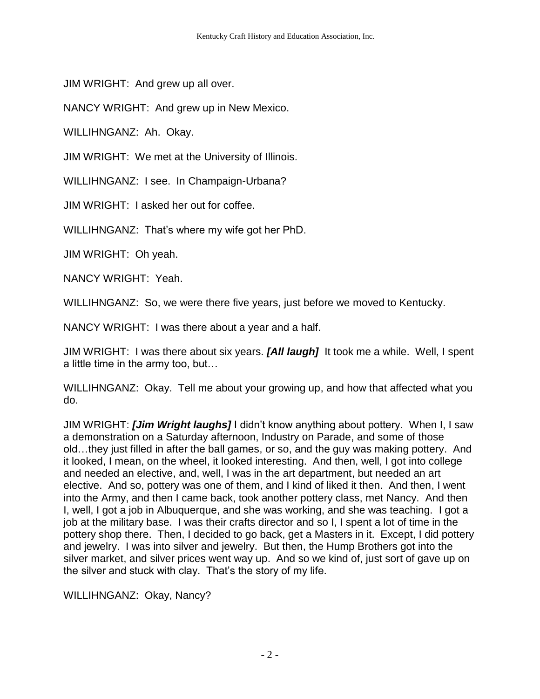JIM WRIGHT: And grew up all over.

NANCY WRIGHT: And grew up in New Mexico.

WILLIHNGANZ: Ah. Okay.

JIM WRIGHT: We met at the University of Illinois.

WILLIHNGANZ: I see. In Champaign-Urbana?

JIM WRIGHT: I asked her out for coffee.

WILLIHNGANZ: That's where my wife got her PhD.

JIM WRIGHT: Oh yeah.

NANCY WRIGHT: Yeah.

WILLIHNGANZ: So, we were there five years, just before we moved to Kentucky.

NANCY WRIGHT: I was there about a year and a half.

JIM WRIGHT: I was there about six years. *[All laugh]* It took me a while. Well, I spent a little time in the army too, but…

WILLIHNGANZ: Okay. Tell me about your growing up, and how that affected what you do.

JIM WRIGHT: *[Jim Wright laughs]* I didn't know anything about pottery. When I, I saw a demonstration on a Saturday afternoon, Industry on Parade, and some of those old…they just filled in after the ball games, or so, and the guy was making pottery. And it looked, I mean, on the wheel, it looked interesting. And then, well, I got into college and needed an elective, and, well, I was in the art department, but needed an art elective. And so, pottery was one of them, and I kind of liked it then. And then, I went into the Army, and then I came back, took another pottery class, met Nancy. And then I, well, I got a job in Albuquerque, and she was working, and she was teaching. I got a job at the military base. I was their crafts director and so I, I spent a lot of time in the pottery shop there. Then, I decided to go back, get a Masters in it. Except, I did pottery and jewelry. I was into silver and jewelry. But then, the Hump Brothers got into the silver market, and silver prices went way up. And so we kind of, just sort of gave up on the silver and stuck with clay. That's the story of my life.

WILLIHNGANZ: Okay, Nancy?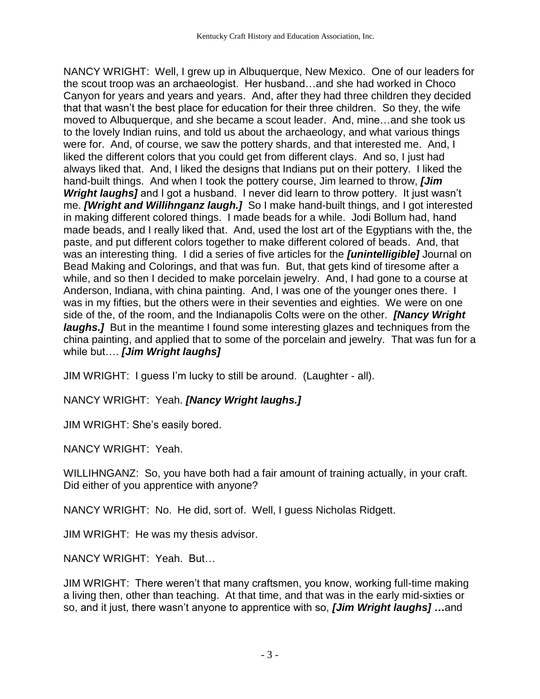NANCY WRIGHT: Well, I grew up in Albuquerque, New Mexico. One of our leaders for the scout troop was an archaeologist. Her husband…and she had worked in Choco Canyon for years and years and years. And, after they had three children they decided that that wasn't the best place for education for their three children. So they, the wife moved to Albuquerque, and she became a scout leader. And, mine…and she took us to the lovely Indian ruins, and told us about the archaeology, and what various things were for. And, of course, we saw the pottery shards, and that interested me. And, I liked the different colors that you could get from different clays. And so, I just had always liked that. And, I liked the designs that Indians put on their pottery. I liked the hand-built things. And when I took the pottery course, Jim learned to throw, *[Jim Wright laughs]* and I got a husband. I never did learn to throw pottery. It just wasn't me. *[Wright and Willihnganz laugh.]* So I make hand-built things, and I got interested in making different colored things. I made beads for a while. Jodi Bollum had, hand made beads, and I really liked that. And, used the lost art of the Egyptians with the, the paste, and put different colors together to make different colored of beads. And, that was an interesting thing. I did a series of five articles for the *[unintelligible]* Journal on Bead Making and Colorings, and that was fun. But, that gets kind of tiresome after a while, and so then I decided to make porcelain jewelry. And, I had gone to a course at Anderson, Indiana, with china painting. And, I was one of the younger ones there. I was in my fifties, but the others were in their seventies and eighties. We were on one side of the, of the room, and the Indianapolis Colts were on the other. *[Nancy Wright laughs.]* But in the meantime I found some interesting glazes and techniques from the china painting, and applied that to some of the porcelain and jewelry. That was fun for a while but…. *[Jim Wright laughs]*

JIM WRIGHT: I guess I'm lucky to still be around. (Laughter - all).

NANCY WRIGHT: Yeah. *[Nancy Wright laughs.]*

JIM WRIGHT: She's easily bored.

NANCY WRIGHT: Yeah.

WILLIHNGANZ: So, you have both had a fair amount of training actually, in your craft. Did either of you apprentice with anyone?

NANCY WRIGHT: No. He did, sort of. Well, I guess Nicholas Ridgett.

JIM WRIGHT: He was my thesis advisor.

NANCY WRIGHT: Yeah. But…

JIM WRIGHT: There weren't that many craftsmen, you know, working full-time making a living then, other than teaching. At that time, and that was in the early mid-sixties or so, and it just, there wasn't anyone to apprentice with so, *[Jim Wright laughs] …*and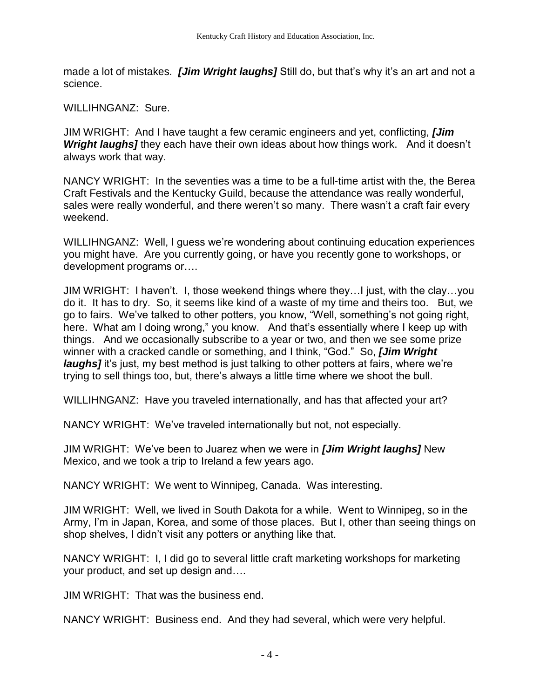made a lot of mistakes. *[Jim Wright laughs]* Still do, but that's why it's an art and not a science.

WILLIHNGANZ: Sure.

JIM WRIGHT: And I have taught a few ceramic engineers and yet, conflicting, *[Jim*  **Wright laughs]** they each have their own ideas about how things work. And it doesn't always work that way.

NANCY WRIGHT: In the seventies was a time to be a full-time artist with the, the Berea Craft Festivals and the Kentucky Guild, because the attendance was really wonderful, sales were really wonderful, and there weren't so many. There wasn't a craft fair every weekend.

WILLIHNGANZ: Well, I guess we're wondering about continuing education experiences you might have. Are you currently going, or have you recently gone to workshops, or development programs or….

JIM WRIGHT: I haven't. I, those weekend things where they…I just, with the clay…you do it. It has to dry. So, it seems like kind of a waste of my time and theirs too. But, we go to fairs. We've talked to other potters, you know, "Well, something's not going right, here. What am I doing wrong," you know. And that's essentially where I keep up with things. And we occasionally subscribe to a year or two, and then we see some prize winner with a cracked candle or something, and I think, "God." So, *[Jim Wright laughs]* it's just, my best method is just talking to other potters at fairs, where we're trying to sell things too, but, there's always a little time where we shoot the bull.

WILLIHNGANZ: Have you traveled internationally, and has that affected your art?

NANCY WRIGHT: We've traveled internationally but not, not especially.

JIM WRIGHT: We've been to Juarez when we were in *[Jim Wright laughs]* New Mexico, and we took a trip to Ireland a few years ago.

NANCY WRIGHT: We went to Winnipeg, Canada. Was interesting.

JIM WRIGHT: Well, we lived in South Dakota for a while. Went to Winnipeg, so in the Army, I'm in Japan, Korea, and some of those places. But I, other than seeing things on shop shelves, I didn't visit any potters or anything like that.

NANCY WRIGHT: I, I did go to several little craft marketing workshops for marketing your product, and set up design and….

JIM WRIGHT: That was the business end.

NANCY WRIGHT: Business end. And they had several, which were very helpful.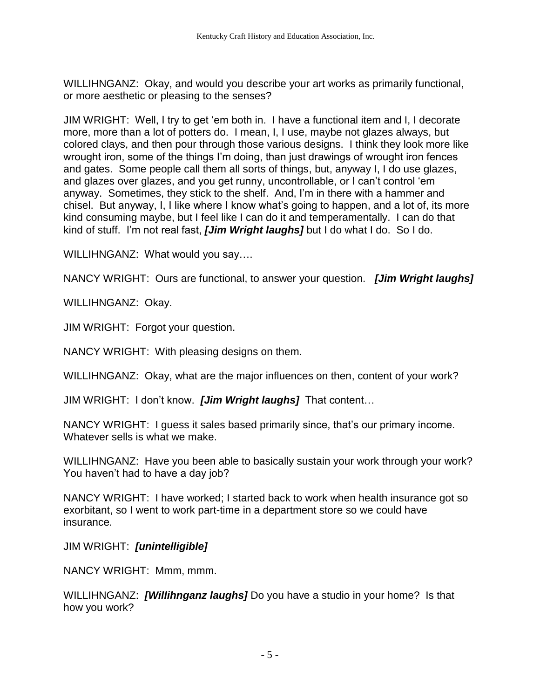WILLIHNGANZ: Okay, and would you describe your art works as primarily functional, or more aesthetic or pleasing to the senses?

JIM WRIGHT: Well, I try to get 'em both in. I have a functional item and I, I decorate more, more than a lot of potters do. I mean, I, I use, maybe not glazes always, but colored clays, and then pour through those various designs. I think they look more like wrought iron, some of the things I'm doing, than just drawings of wrought iron fences and gates. Some people call them all sorts of things, but, anyway I, I do use glazes, and glazes over glazes, and you get runny, uncontrollable, or I can't control 'em anyway. Sometimes, they stick to the shelf. And, I'm in there with a hammer and chisel. But anyway, I, I like where I know what's going to happen, and a lot of, its more kind consuming maybe, but I feel like I can do it and temperamentally. I can do that kind of stuff. I'm not real fast, *[Jim Wright laughs]* but I do what I do. So I do.

WILLIHNGANZ: What would you say....

NANCY WRIGHT: Ours are functional, to answer your question. *[Jim Wright laughs]*

WILLIHNGANZ: Okay.

JIM WRIGHT: Forgot your question.

NANCY WRIGHT: With pleasing designs on them.

WILLIHNGANZ: Okay, what are the major influences on then, content of your work?

JIM WRIGHT: I don't know. *[Jim Wright laughs]* That content…

NANCY WRIGHT: I guess it sales based primarily since, that's our primary income. Whatever sells is what we make.

WILLIHNGANZ: Have you been able to basically sustain your work through your work? You haven't had to have a day job?

NANCY WRIGHT: I have worked; I started back to work when health insurance got so exorbitant, so I went to work part-time in a department store so we could have insurance.

JIM WRIGHT: *[unintelligible]*

NANCY WRIGHT: Mmm, mmm.

WILLIHNGANZ: *[Willihnganz laughs]* Do you have a studio in your home? Is that how you work?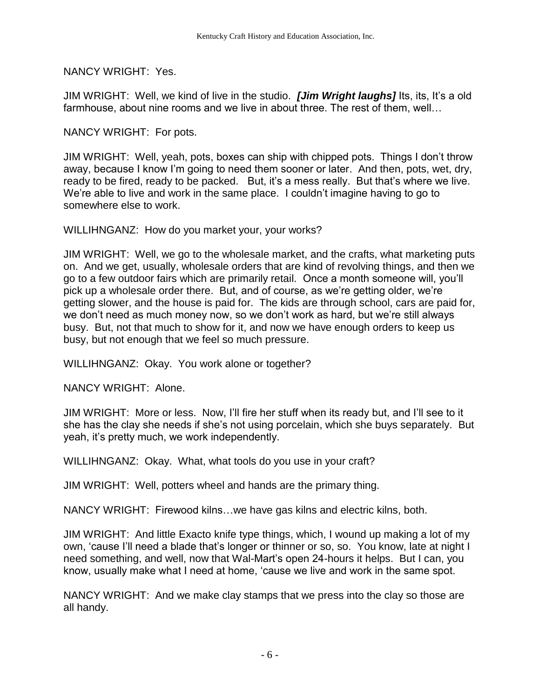NANCY WRIGHT: Yes.

JIM WRIGHT: Well, we kind of live in the studio. *[Jim Wright laughs]* Its, its, It's a old farmhouse, about nine rooms and we live in about three. The rest of them, well…

NANCY WRIGHT: For pots.

JIM WRIGHT: Well, yeah, pots, boxes can ship with chipped pots. Things I don't throw away, because I know I'm going to need them sooner or later. And then, pots, wet, dry, ready to be fired, ready to be packed. But, it's a mess really. But that's where we live. We're able to live and work in the same place. I couldn't imagine having to go to somewhere else to work.

WILLIHNGANZ: How do you market your, your works?

JIM WRIGHT: Well, we go to the wholesale market, and the crafts, what marketing puts on. And we get, usually, wholesale orders that are kind of revolving things, and then we go to a few outdoor fairs which are primarily retail. Once a month someone will, you'll pick up a wholesale order there. But, and of course, as we're getting older, we're getting slower, and the house is paid for. The kids are through school, cars are paid for, we don't need as much money now, so we don't work as hard, but we're still always busy. But, not that much to show for it, and now we have enough orders to keep us busy, but not enough that we feel so much pressure.

WILLIHNGANZ: Okay. You work alone or together?

NANCY WRIGHT: Alone.

JIM WRIGHT: More or less. Now, I'll fire her stuff when its ready but, and I'll see to it she has the clay she needs if she's not using porcelain, which she buys separately. But yeah, it's pretty much, we work independently.

WILLIHNGANZ: Okay. What, what tools do you use in your craft?

JIM WRIGHT: Well, potters wheel and hands are the primary thing.

NANCY WRIGHT: Firewood kilns…we have gas kilns and electric kilns, both.

JIM WRIGHT: And little Exacto knife type things, which, I wound up making a lot of my own, 'cause I'll need a blade that's longer or thinner or so, so. You know, late at night I need something, and well, now that Wal-Mart's open 24-hours it helps. But I can, you know, usually make what I need at home, 'cause we live and work in the same spot.

NANCY WRIGHT: And we make clay stamps that we press into the clay so those are all handy.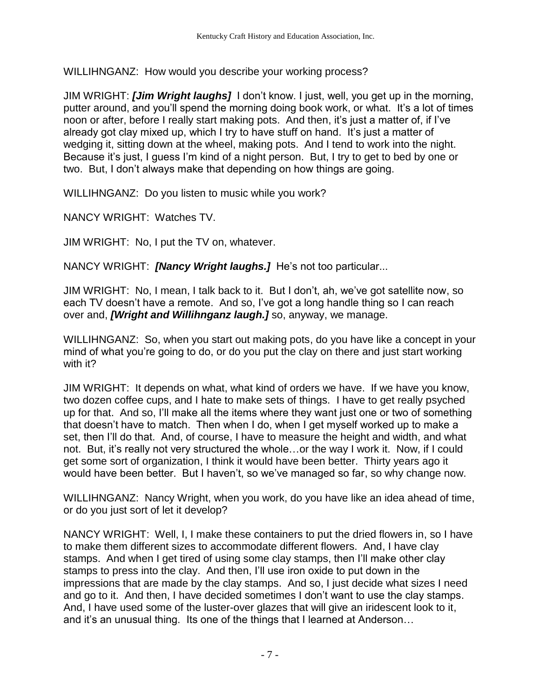WILLIHNGANZ: How would you describe your working process?

JIM WRIGHT: *[Jim Wright laughs]* I don't know. I just, well, you get up in the morning, putter around, and you'll spend the morning doing book work, or what. It's a lot of times noon or after, before I really start making pots. And then, it's just a matter of, if I've already got clay mixed up, which I try to have stuff on hand. It's just a matter of wedging it, sitting down at the wheel, making pots. And I tend to work into the night. Because it's just, I guess I'm kind of a night person. But, I try to get to bed by one or two. But, I don't always make that depending on how things are going.

WILLIHNGANZ: Do you listen to music while you work?

NANCY WRIGHT: Watches TV.

JIM WRIGHT: No, I put the TV on, whatever.

NANCY WRIGHT: *[Nancy Wright laughs.]* He's not too particular...

JIM WRIGHT: No, I mean, I talk back to it. But I don't, ah, we've got satellite now, so each TV doesn't have a remote. And so, I've got a long handle thing so I can reach over and, *[Wright and Willihnganz laugh.]* so, anyway, we manage.

WILLIHNGANZ: So, when you start out making pots, do you have like a concept in your mind of what you're going to do, or do you put the clay on there and just start working with it?

JIM WRIGHT: It depends on what, what kind of orders we have. If we have you know, two dozen coffee cups, and I hate to make sets of things. I have to get really psyched up for that. And so, I'll make all the items where they want just one or two of something that doesn't have to match. Then when I do, when I get myself worked up to make a set, then I'll do that. And, of course, I have to measure the height and width, and what not. But, it's really not very structured the whole…or the way I work it. Now, if I could get some sort of organization, I think it would have been better. Thirty years ago it would have been better. But I haven't, so we've managed so far, so why change now.

WILLIHNGANZ: Nancy Wright, when you work, do you have like an idea ahead of time, or do you just sort of let it develop?

NANCY WRIGHT: Well, I, I make these containers to put the dried flowers in, so I have to make them different sizes to accommodate different flowers. And, I have clay stamps. And when I get tired of using some clay stamps, then I'll make other clay stamps to press into the clay. And then, I'll use iron oxide to put down in the impressions that are made by the clay stamps. And so, I just decide what sizes I need and go to it. And then, I have decided sometimes I don't want to use the clay stamps. And, I have used some of the luster-over glazes that will give an iridescent look to it, and it's an unusual thing. Its one of the things that I learned at Anderson…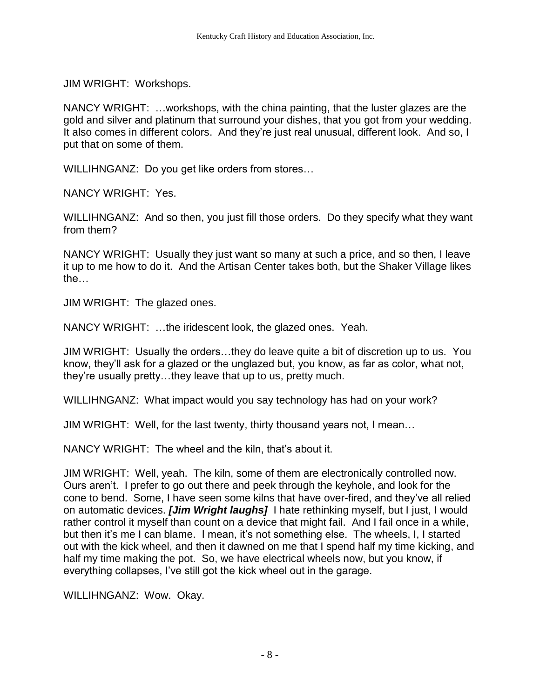JIM WRIGHT: Workshops.

NANCY WRIGHT: …workshops, with the china painting, that the luster glazes are the gold and silver and platinum that surround your dishes, that you got from your wedding. It also comes in different colors. And they're just real unusual, different look. And so, I put that on some of them.

WILLIHNGANZ: Do you get like orders from stores…

NANCY WRIGHT: Yes.

WILLIHNGANZ: And so then, you just fill those orders. Do they specify what they want from them?

NANCY WRIGHT: Usually they just want so many at such a price, and so then, I leave it up to me how to do it. And the Artisan Center takes both, but the Shaker Village likes the…

JIM WRIGHT: The glazed ones.

NANCY WRIGHT: …the iridescent look, the glazed ones. Yeah.

JIM WRIGHT: Usually the orders…they do leave quite a bit of discretion up to us. You know, they'll ask for a glazed or the unglazed but, you know, as far as color, what not, they're usually pretty…they leave that up to us, pretty much.

WILLIHNGANZ: What impact would you say technology has had on your work?

JIM WRIGHT: Well, for the last twenty, thirty thousand years not, I mean…

NANCY WRIGHT: The wheel and the kiln, that's about it.

JIM WRIGHT: Well, yeah. The kiln, some of them are electronically controlled now. Ours aren't. I prefer to go out there and peek through the keyhole, and look for the cone to bend. Some, I have seen some kilns that have over-fired, and they've all relied on automatic devices. *[Jim Wright laughs]* I hate rethinking myself, but I just, I would rather control it myself than count on a device that might fail. And I fail once in a while, but then it's me I can blame. I mean, it's not something else. The wheels, I, I started out with the kick wheel, and then it dawned on me that I spend half my time kicking, and half my time making the pot. So, we have electrical wheels now, but you know, if everything collapses, I've still got the kick wheel out in the garage.

WILLIHNGANZ: Wow. Okay.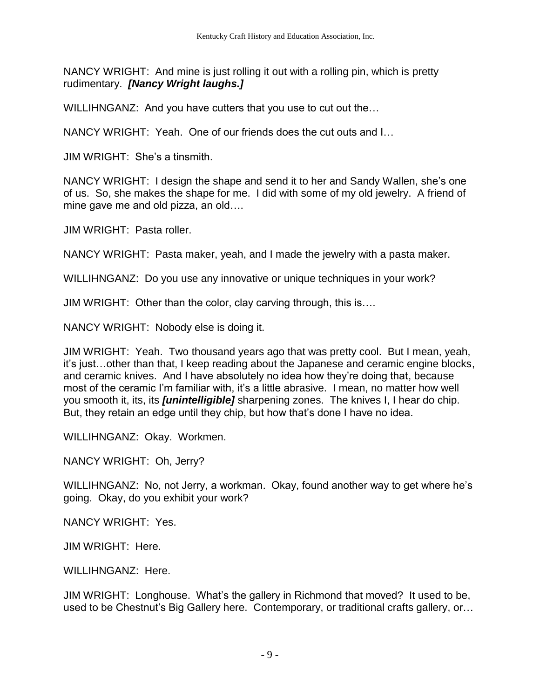NANCY WRIGHT: And mine is just rolling it out with a rolling pin, which is pretty rudimentary. *[Nancy Wright laughs.]*

WILLIHNGANZ: And you have cutters that you use to cut out the...

NANCY WRIGHT: Yeah. One of our friends does the cut outs and I…

JIM WRIGHT: She's a tinsmith.

NANCY WRIGHT: I design the shape and send it to her and Sandy Wallen, she's one of us. So, she makes the shape for me. I did with some of my old jewelry. A friend of mine gave me and old pizza, an old….

JIM WRIGHT: Pasta roller.

NANCY WRIGHT: Pasta maker, yeah, and I made the jewelry with a pasta maker.

WILLIHNGANZ: Do you use any innovative or unique techniques in your work?

JIM WRIGHT: Other than the color, clay carving through, this is….

NANCY WRIGHT: Nobody else is doing it.

JIM WRIGHT: Yeah. Two thousand years ago that was pretty cool. But I mean, yeah, it's just…other than that, I keep reading about the Japanese and ceramic engine blocks, and ceramic knives. And I have absolutely no idea how they're doing that, because most of the ceramic I'm familiar with, it's a little abrasive. I mean, no matter how well you smooth it, its, its *[unintelligible]* sharpening zones. The knives I, I hear do chip. But, they retain an edge until they chip, but how that's done I have no idea.

WILLIHNGANZ: Okay. Workmen.

NANCY WRIGHT: Oh, Jerry?

WILLIHNGANZ: No, not Jerry, a workman. Okay, found another way to get where he's going. Okay, do you exhibit your work?

NANCY WRIGHT: Yes.

JIM WRIGHT: Here.

WILLIHNGANZ: Here.

JIM WRIGHT: Longhouse. What's the gallery in Richmond that moved? It used to be, used to be Chestnut's Big Gallery here. Contemporary, or traditional crafts gallery, or…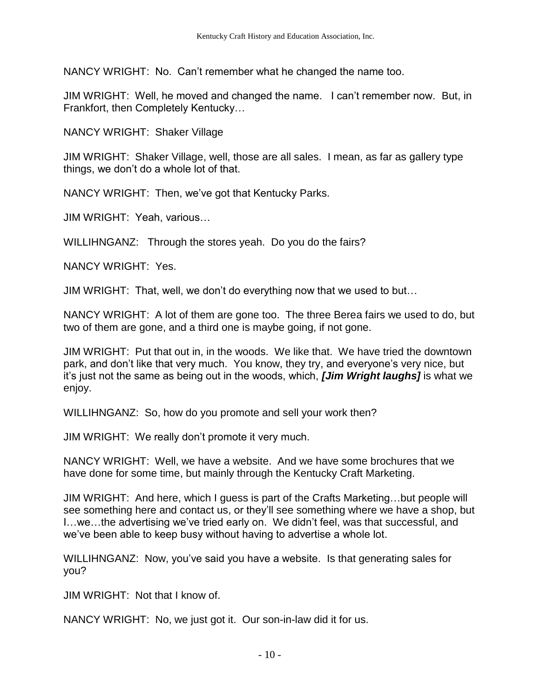NANCY WRIGHT: No. Can't remember what he changed the name too.

JIM WRIGHT: Well, he moved and changed the name. I can't remember now. But, in Frankfort, then Completely Kentucky…

NANCY WRIGHT: Shaker Village

JIM WRIGHT: Shaker Village, well, those are all sales. I mean, as far as gallery type things, we don't do a whole lot of that.

NANCY WRIGHT: Then, we've got that Kentucky Parks.

JIM WRIGHT: Yeah, various…

WILLIHNGANZ: Through the stores yeah. Do you do the fairs?

NANCY WRIGHT: Yes.

JIM WRIGHT: That, well, we don't do everything now that we used to but…

NANCY WRIGHT: A lot of them are gone too. The three Berea fairs we used to do, but two of them are gone, and a third one is maybe going, if not gone.

JIM WRIGHT: Put that out in, in the woods. We like that. We have tried the downtown park, and don't like that very much. You know, they try, and everyone's very nice, but it's just not the same as being out in the woods, which, *[Jim Wright laughs]* is what we enjoy.

WILLIHNGANZ: So, how do you promote and sell your work then?

JIM WRIGHT: We really don't promote it very much.

NANCY WRIGHT: Well, we have a website. And we have some brochures that we have done for some time, but mainly through the Kentucky Craft Marketing.

JIM WRIGHT: And here, which I guess is part of the Crafts Marketing…but people will see something here and contact us, or they'll see something where we have a shop, but I…we…the advertising we've tried early on. We didn't feel, was that successful, and we've been able to keep busy without having to advertise a whole lot.

WILLIHNGANZ: Now, you've said you have a website. Is that generating sales for you?

JIM WRIGHT: Not that I know of.

NANCY WRIGHT: No, we just got it. Our son-in-law did it for us.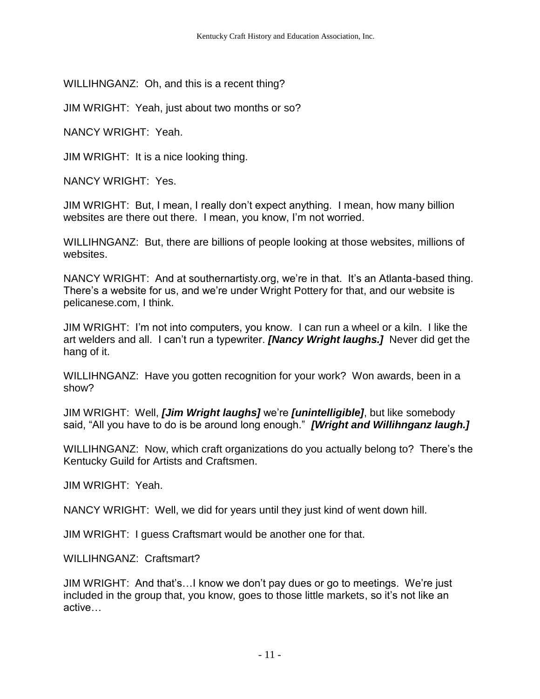WILLIHNGANZ: Oh, and this is a recent thing?

JIM WRIGHT: Yeah, just about two months or so?

NANCY WRIGHT: Yeah.

JIM WRIGHT: It is a nice looking thing.

NANCY WRIGHT: Yes.

JIM WRIGHT: But, I mean, I really don't expect anything. I mean, how many billion websites are there out there. I mean, you know, I'm not worried.

WILLIHNGANZ: But, there are billions of people looking at those websites, millions of websites.

NANCY WRIGHT: And at southernartisty.org, we're in that. It's an Atlanta-based thing. There's a website for us, and we're under Wright Pottery for that, and our website is pelicanese.com, I think.

JIM WRIGHT: I'm not into computers, you know. I can run a wheel or a kiln. I like the art welders and all. I can't run a typewriter. *[Nancy Wright laughs.]* Never did get the hang of it.

WILLIHNGANZ: Have you gotten recognition for your work? Won awards, been in a show?

JIM WRIGHT: Well, *[Jim Wright laughs]* we're *[unintelligible]*, but like somebody said, "All you have to do is be around long enough." *[Wright and Willihnganz laugh.]*

WILLIHNGANZ: Now, which craft organizations do you actually belong to? There's the Kentucky Guild for Artists and Craftsmen.

JIM WRIGHT: Yeah.

NANCY WRIGHT: Well, we did for years until they just kind of went down hill.

JIM WRIGHT: I guess Craftsmart would be another one for that.

WILLIHNGANZ: Craftsmart?

JIM WRIGHT: And that's…I know we don't pay dues or go to meetings. We're just included in the group that, you know, goes to those little markets, so it's not like an active…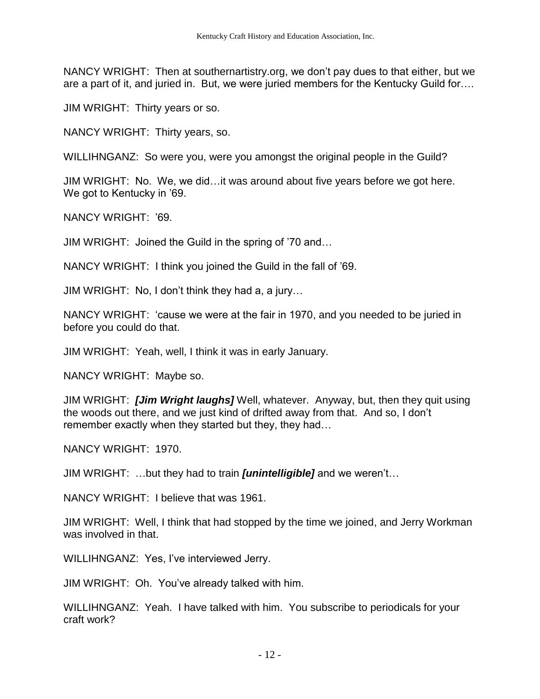NANCY WRIGHT: Then at southernartistry.org, we don't pay dues to that either, but we are a part of it, and juried in. But, we were juried members for the Kentucky Guild for….

JIM WRIGHT: Thirty years or so.

NANCY WRIGHT: Thirty years, so.

WILLIHNGANZ: So were you, were you amongst the original people in the Guild?

JIM WRIGHT: No. We, we did…it was around about five years before we got here. We got to Kentucky in '69.

NANCY WRIGHT: '69.

JIM WRIGHT: Joined the Guild in the spring of '70 and…

NANCY WRIGHT: I think you joined the Guild in the fall of '69.

JIM WRIGHT: No, I don't think they had a, a jury…

NANCY WRIGHT: 'cause we were at the fair in 1970, and you needed to be juried in before you could do that.

JIM WRIGHT: Yeah, well, I think it was in early January.

NANCY WRIGHT: Maybe so.

JIM WRIGHT: *[Jim Wright laughs]* Well, whatever. Anyway, but, then they quit using the woods out there, and we just kind of drifted away from that. And so, I don't remember exactly when they started but they, they had…

NANCY WRIGHT: 1970.

JIM WRIGHT: …but they had to train *[unintelligible]* and we weren't…

NANCY WRIGHT: I believe that was 1961.

JIM WRIGHT: Well, I think that had stopped by the time we joined, and Jerry Workman was involved in that.

WILLIHNGANZ: Yes, I've interviewed Jerry.

JIM WRIGHT: Oh. You've already talked with him.

WILLIHNGANZ: Yeah. I have talked with him. You subscribe to periodicals for your craft work?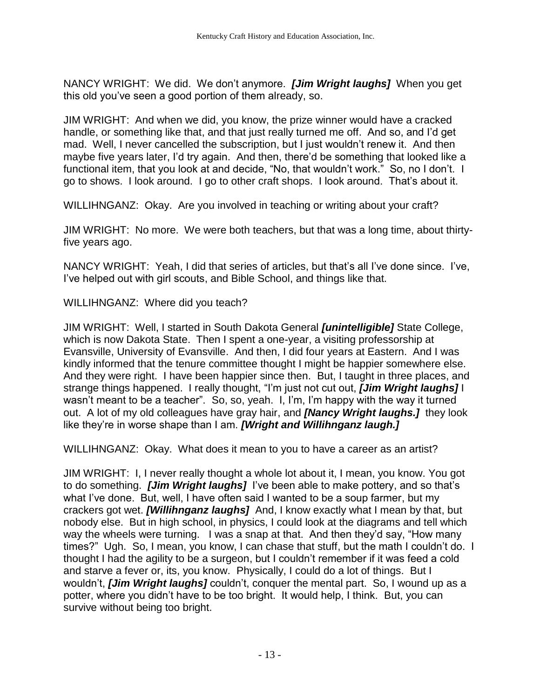NANCY WRIGHT: We did. We don't anymore. *[Jim Wright laughs]* When you get this old you've seen a good portion of them already, so.

JIM WRIGHT: And when we did, you know, the prize winner would have a cracked handle, or something like that, and that just really turned me off. And so, and I'd get mad. Well, I never cancelled the subscription, but I just wouldn't renew it. And then maybe five years later, I'd try again. And then, there'd be something that looked like a functional item, that you look at and decide, "No, that wouldn't work." So, no I don't. I go to shows. I look around. I go to other craft shops. I look around. That's about it.

WILLIHNGANZ: Okay. Are you involved in teaching or writing about your craft?

JIM WRIGHT: No more. We were both teachers, but that was a long time, about thirtyfive years ago.

NANCY WRIGHT: Yeah, I did that series of articles, but that's all I've done since. I've, I've helped out with girl scouts, and Bible School, and things like that.

WILLIHNGANZ: Where did you teach?

JIM WRIGHT: Well, I started in South Dakota General *[unintelligible]* State College, which is now Dakota State. Then I spent a one-year, a visiting professorship at Evansville, University of Evansville. And then, I did four years at Eastern. And I was kindly informed that the tenure committee thought I might be happier somewhere else. And they were right. I have been happier since then. But, I taught in three places, and strange things happened. I really thought, "I'm just not cut out, *[Jim Wright laughs]* I wasn't meant to be a teacher". So, so, yeah. I, I'm, I'm happy with the way it turned out. A lot of my old colleagues have gray hair, and *[Nancy Wright laughs.]* they look like they're in worse shape than I am. *[Wright and Willihnganz laugh.]*

WILLIHNGANZ: Okay. What does it mean to you to have a career as an artist?

JIM WRIGHT: I, I never really thought a whole lot about it, I mean, you know. You got to do something. *[Jim Wright laughs]* I've been able to make pottery, and so that's what I've done. But, well, I have often said I wanted to be a soup farmer, but my crackers got wet. *[Willihnganz laughs]* And, I know exactly what I mean by that, but nobody else. But in high school, in physics, I could look at the diagrams and tell which way the wheels were turning. I was a snap at that. And then they'd say, "How many times?" Ugh. So, I mean, you know, I can chase that stuff, but the math I couldn't do. I thought I had the agility to be a surgeon, but I couldn't remember if it was feed a cold and starve a fever or, its, you know. Physically, I could do a lot of things. But I wouldn't, *[Jim Wright laughs]* couldn't, conquer the mental part. So, I wound up as a potter, where you didn't have to be too bright. It would help, I think. But, you can survive without being too bright.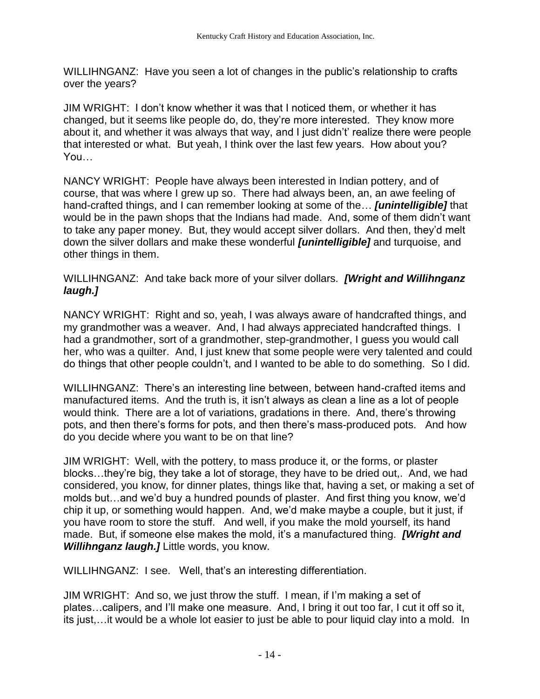WILLIHNGANZ: Have you seen a lot of changes in the public's relationship to crafts over the years?

JIM WRIGHT: I don't know whether it was that I noticed them, or whether it has changed, but it seems like people do, do, they're more interested. They know more about it, and whether it was always that way, and I just didn't' realize there were people that interested or what. But yeah, I think over the last few years. How about you? You…

NANCY WRIGHT: People have always been interested in Indian pottery, and of course, that was where I grew up so. There had always been, an, an awe feeling of hand-crafted things, and I can remember looking at some of the… *[unintelligible]* that would be in the pawn shops that the Indians had made. And, some of them didn't want to take any paper money. But, they would accept silver dollars. And then, they'd melt down the silver dollars and make these wonderful *[unintelligible]* and turquoise, and other things in them.

WILLIHNGANZ: And take back more of your silver dollars. *[Wright and Willihnganz laugh.]*

NANCY WRIGHT: Right and so, yeah, I was always aware of handcrafted things, and my grandmother was a weaver. And, I had always appreciated handcrafted things. I had a grandmother, sort of a grandmother, step-grandmother, I guess you would call her, who was a quilter. And, I just knew that some people were very talented and could do things that other people couldn't, and I wanted to be able to do something. So I did.

WILLIHNGANZ: There's an interesting line between, between hand-crafted items and manufactured items. And the truth is, it isn't always as clean a line as a lot of people would think. There are a lot of variations, gradations in there. And, there's throwing pots, and then there's forms for pots, and then there's mass-produced pots. And how do you decide where you want to be on that line?

JIM WRIGHT: Well, with the pottery, to mass produce it, or the forms, or plaster blocks…they're big, they take a lot of storage, they have to be dried out,. And, we had considered, you know, for dinner plates, things like that, having a set, or making a set of molds but…and we'd buy a hundred pounds of plaster. And first thing you know, we'd chip it up, or something would happen. And, we'd make maybe a couple, but it just, if you have room to store the stuff. And well, if you make the mold yourself, its hand made. But, if someone else makes the mold, it's a manufactured thing. *[Wright and Willihnganz laugh.]* Little words, you know.

WILLIHNGANZ: I see. Well, that's an interesting differentiation.

JIM WRIGHT: And so, we just throw the stuff. I mean, if I'm making a set of plates…calipers, and I'll make one measure. And, I bring it out too far, I cut it off so it, its just,…it would be a whole lot easier to just be able to pour liquid clay into a mold. In